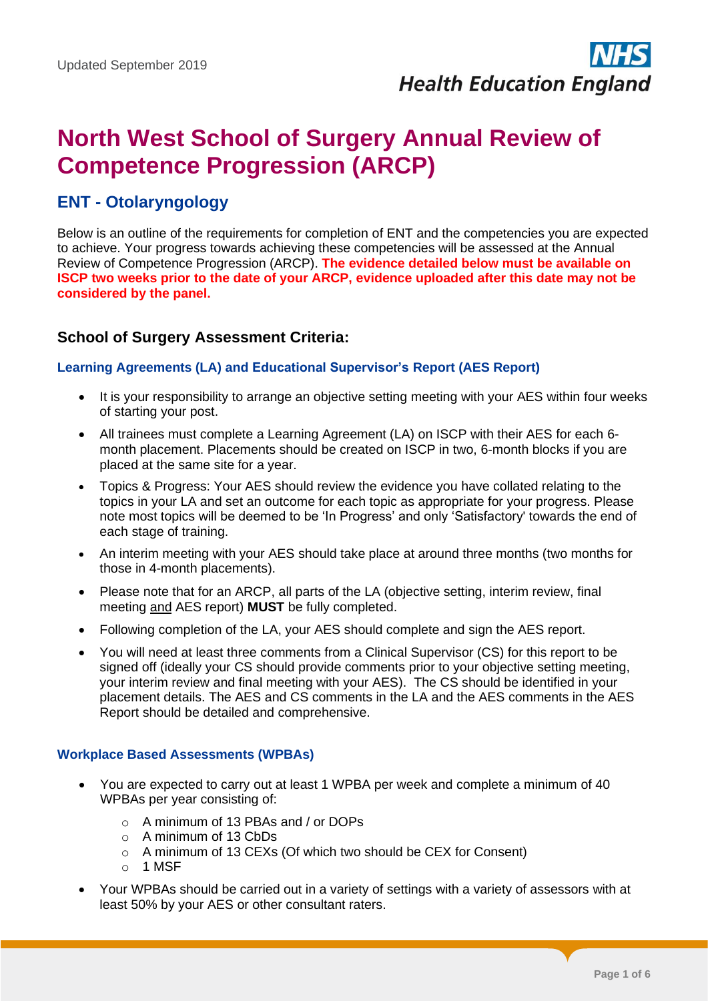# **North West School of Surgery Annual Review of Competence Progression (ARCP)**

# **ENT - Otolaryngology**

Below is an outline of the requirements for completion of ENT and the competencies you are expected to achieve. Your progress towards achieving these competencies will be assessed at the Annual Review of Competence Progression (ARCP). **The evidence detailed below must be available on ISCP two weeks prior to the date of your ARCP, evidence uploaded after this date may not be considered by the panel.**

# **School of Surgery Assessment Criteria:**

# **Learning Agreements (LA) and Educational Supervisor's Report (AES Report)**

- It is your responsibility to arrange an objective setting meeting with your AES within four weeks of starting your post.
- All trainees must complete a Learning Agreement (LA) on ISCP with their AES for each 6 month placement. Placements should be created on ISCP in two, 6-month blocks if you are placed at the same site for a year.
- Topics & Progress: Your AES should review the evidence you have collated relating to the topics in your LA and set an outcome for each topic as appropriate for your progress. Please note most topics will be deemed to be 'In Progress' and only 'Satisfactory' towards the end of each stage of training.
- An interim meeting with your AES should take place at around three months (two months for those in 4-month placements).
- Please note that for an ARCP, all parts of the LA (objective setting, interim review, final meeting and AES report) **MUST** be fully completed.
- Following completion of the LA, your AES should complete and sign the AES report.
- You will need at least three comments from a Clinical Supervisor (CS) for this report to be signed off (ideally your CS should provide comments prior to your objective setting meeting, your interim review and final meeting with your AES). The CS should be identified in your placement details. The AES and CS comments in the LA and the AES comments in the AES Report should be detailed and comprehensive.

# **Workplace Based Assessments (WPBAs)**

- You are expected to carry out at least 1 WPBA per week and complete a minimum of 40 WPBAs per year consisting of:
	- o A minimum of 13 PBAs and / or DOPs
	- o A minimum of 13 CbDs
	- o A minimum of 13 CEXs (Of which two should be CEX for Consent)
	- $\circ$  1 MSF
- Your WPBAs should be carried out in a variety of settings with a variety of assessors with at least 50% by your AES or other consultant raters.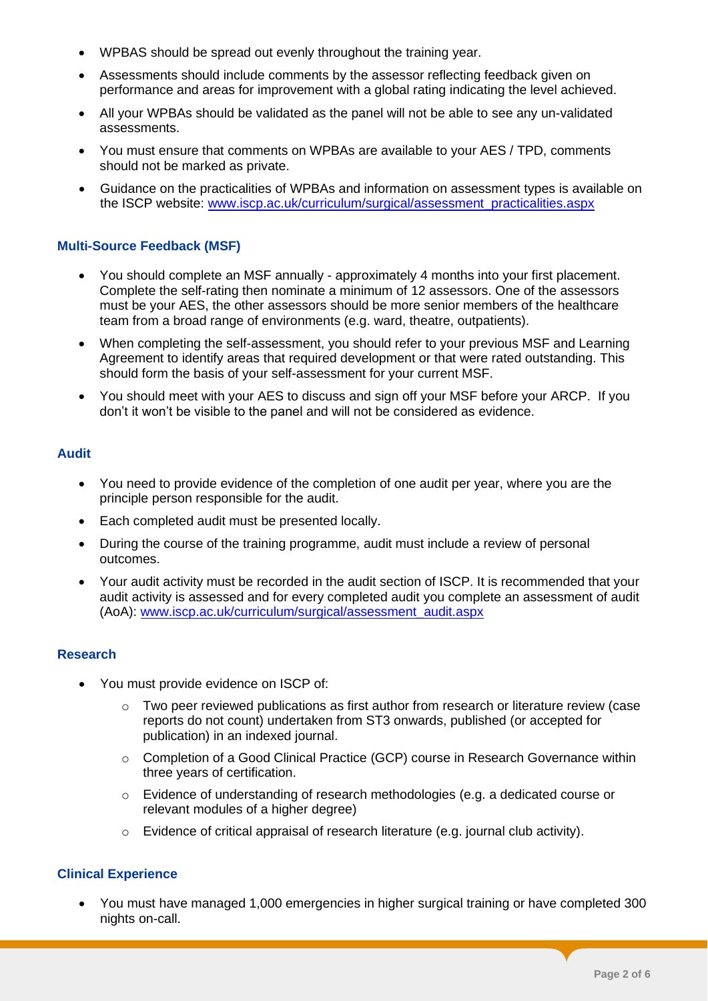- WPBAS should be spread out evenly throughout the training year.
- Assessments should include comments by the assessor reflecting feedback given on performance and areas for improvement with a global rating indicating the level achieved.
- All your WPBAs should be validated as the panel will not be able to see any un-validated assessments.
- You must ensure that comments on WPBAs are available to your AES / TPD, comments should not be marked as private.
- Guidance on the practicalities of WPBAs and information on assessment types is available on the ISCP website: [www.iscp.ac.uk/curriculum/surgical/assessment\\_practicalities.aspx](http://www.iscp.ac.uk/curriculum/surgical/assessment_practicalities.aspx)

# **Multi-Source Feedback (MSF)**

- You should complete an MSF annually approximately 4 months into your first placement. Complete the self-rating then nominate a minimum of 12 assessors. One of the assessors must be your AES, the other assessors should be more senior members of the healthcare team from a broad range of environments (e.g. ward, theatre, outpatients).
- When completing the self-assessment, you should refer to your previous MSF and Learning Agreement to identify areas that required development or that were rated outstanding. This should form the basis of your self-assessment for your current MSF.
- You should meet with your AES to discuss and sign off your MSF before your ARCP. If you don't it won't be visible to the panel and will not be considered as evidence.

# **Audit**

- You need to provide evidence of the completion of one audit per year, where you are the principle person responsible for the audit.
- Each completed audit must be presented locally.
- During the course of the training programme, audit must include a review of personal outcomes.
- Your audit activity must be recorded in the audit section of ISCP. It is recommended that your audit activity is assessed and for every completed audit you complete an assessment of audit (AoA): [www.iscp.ac.uk/curriculum/surgical/assessment\\_audit.aspx](http://www.iscp.ac.uk/curriculum/surgical/assessment_audit.aspx)

# **Research**

- You must provide evidence on ISCP of:
	- $\circ$  Two peer reviewed publications as first author from research or literature review (case reports do not count) undertaken from ST3 onwards, published (or accepted for publication) in an indexed journal.
	- o Completion of a Good Clinical Practice (GCP) course in Research Governance within three years of certification.
	- o Evidence of understanding of research methodologies (e.g. a dedicated course or relevant modules of a higher degree)
	- $\circ$  Evidence of critical appraisal of research literature (e.g. journal club activity).

# **Clinical Experience**

• You must have managed 1,000 emergencies in higher surgical training or have completed 300 nights on-call.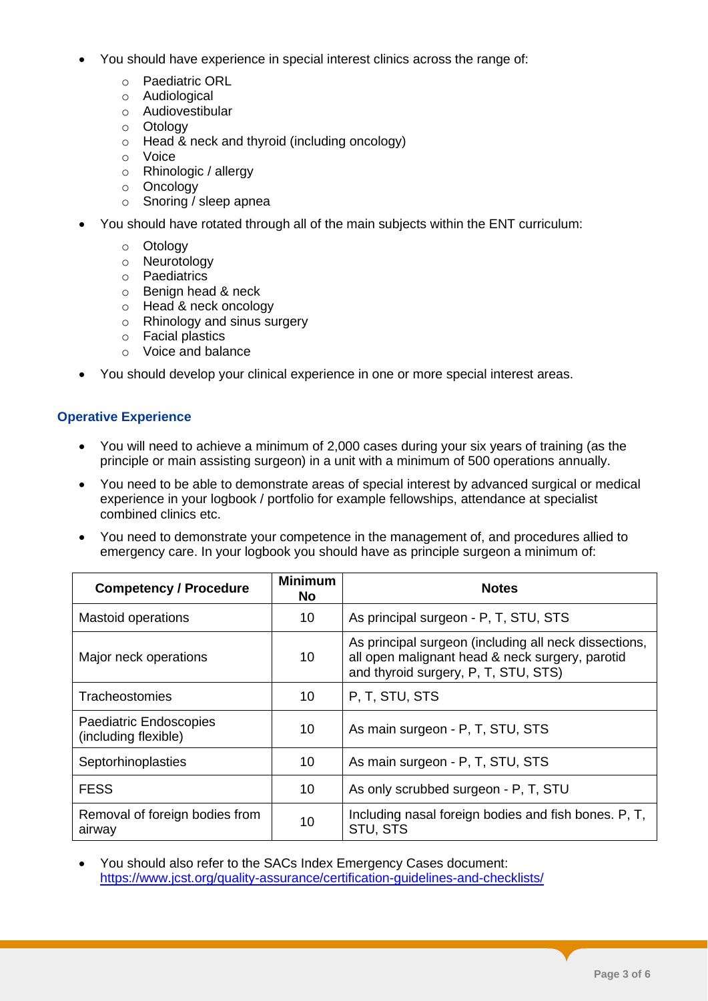- You should have experience in special interest clinics across the range of:
	- o Paediatric ORL
	- o Audiological
	- o Audiovestibular
	- o Otology
	- o Head & neck and thyroid (including oncology)
	- o Voice
	- o Rhinologic / allergy
	- o Oncology
	- o Snoring / sleep apnea
- You should have rotated through all of the main subjects within the ENT curriculum:
	- o Otology
	- o Neurotology
	- o Paediatrics
	- o Benign head & neck
	- o Head & neck oncology
	- o Rhinology and sinus surgery
	- o Facial plastics
	- o Voice and balance
- You should develop your clinical experience in one or more special interest areas.

# **Operative Experience**

- You will need to achieve a minimum of 2,000 cases during your six years of training (as the principle or main assisting surgeon) in a unit with a minimum of 500 operations annually.
- You need to be able to demonstrate areas of special interest by advanced surgical or medical experience in your logbook / portfolio for example fellowships, attendance at specialist combined clinics etc.
- You need to demonstrate your competence in the management of, and procedures allied to emergency care. In your logbook you should have as principle surgeon a minimum of:

| <b>Competency / Procedure</b>                         | <b>Minimum</b><br>No | <b>Notes</b>                                                                                                                                     |
|-------------------------------------------------------|----------------------|--------------------------------------------------------------------------------------------------------------------------------------------------|
| <b>Mastoid operations</b>                             | 10                   | As principal surgeon - P, T, STU, STS                                                                                                            |
| Major neck operations                                 | 10                   | As principal surgeon (including all neck dissections,<br>all open malignant head & neck surgery, parotid<br>and thyroid surgery, P, T, STU, STS) |
| Tracheostomies                                        | 10                   | P. T. STU, STS                                                                                                                                   |
| <b>Paediatric Endoscopies</b><br>(including flexible) | 10                   | As main surgeon - P, T, STU, STS                                                                                                                 |
| Septorhinoplasties                                    | 10                   | As main surgeon - P, T, STU, STS                                                                                                                 |
| <b>FESS</b>                                           | 10                   | As only scrubbed surgeon - P, T, STU                                                                                                             |
| Removal of foreign bodies from<br>airway              | 10                   | Including nasal foreign bodies and fish bones. P, T,<br>STU, STS                                                                                 |

• You should also refer to the SACs Index Emergency Cases document: <https://www.jcst.org/quality-assurance/certification-guidelines-and-checklists/>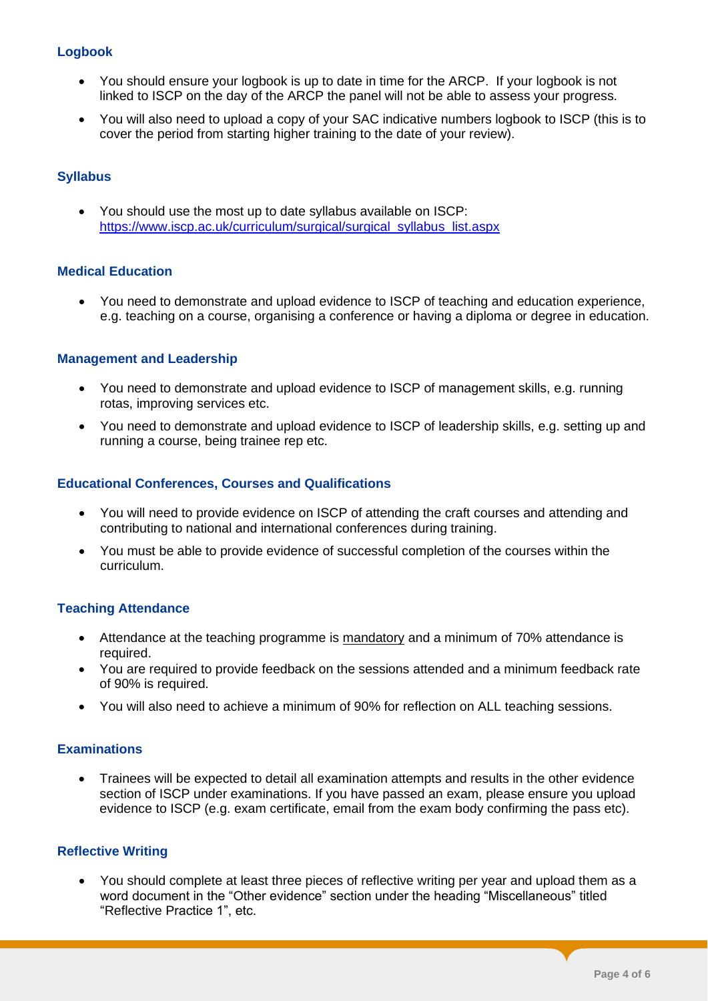# **Logbook**

- You should ensure your logbook is up to date in time for the ARCP.If your logbook is not linked to ISCP on the day of the ARCP the panel will not be able to assess your progress.
- You will also need to upload a copy of your SAC indicative numbers logbook to ISCP (this is to cover the period from starting higher training to the date of your review).

# **Syllabus**

• You should use the most up to date syllabus available on ISCP: [https://www.iscp.ac.uk/curriculum/surgical/surgical\\_syllabus\\_list.aspx](https://www.iscp.ac.uk/curriculum/surgical/surgical_syllabus_list.aspx)

# **Medical Education**

• You need to demonstrate and upload evidence to ISCP of teaching and education experience, e.g. teaching on a course, organising a conference or having a diploma or degree in education.

# **Management and Leadership**

- You need to demonstrate and upload evidence to ISCP of management skills, e.g. running rotas, improving services etc.
- You need to demonstrate and upload evidence to ISCP of leadership skills, e.g. setting up and running a course, being trainee rep etc.

#### **Educational Conferences, Courses and Qualifications**

- You will need to provide evidence on ISCP of attending the craft courses and attending and contributing to national and international conferences during training.
- You must be able to provide evidence of successful completion of the courses within the curriculum.

#### **Teaching Attendance**

- Attendance at the teaching programme is mandatory and a minimum of 70% attendance is required.
- You are required to provide feedback on the sessions attended and a minimum feedback rate of 90% is required.
- You will also need to achieve a minimum of 90% for reflection on ALL teaching sessions.

# **Examinations**

• Trainees will be expected to detail all examination attempts and results in the other evidence section of ISCP under examinations. If you have passed an exam, please ensure you upload evidence to ISCP (e.g. exam certificate, email from the exam body confirming the pass etc).

# **Reflective Writing**

• You should complete at least three pieces of reflective writing per year and upload them as a word document in the "Other evidence" section under the heading "Miscellaneous" titled "Reflective Practice 1", etc.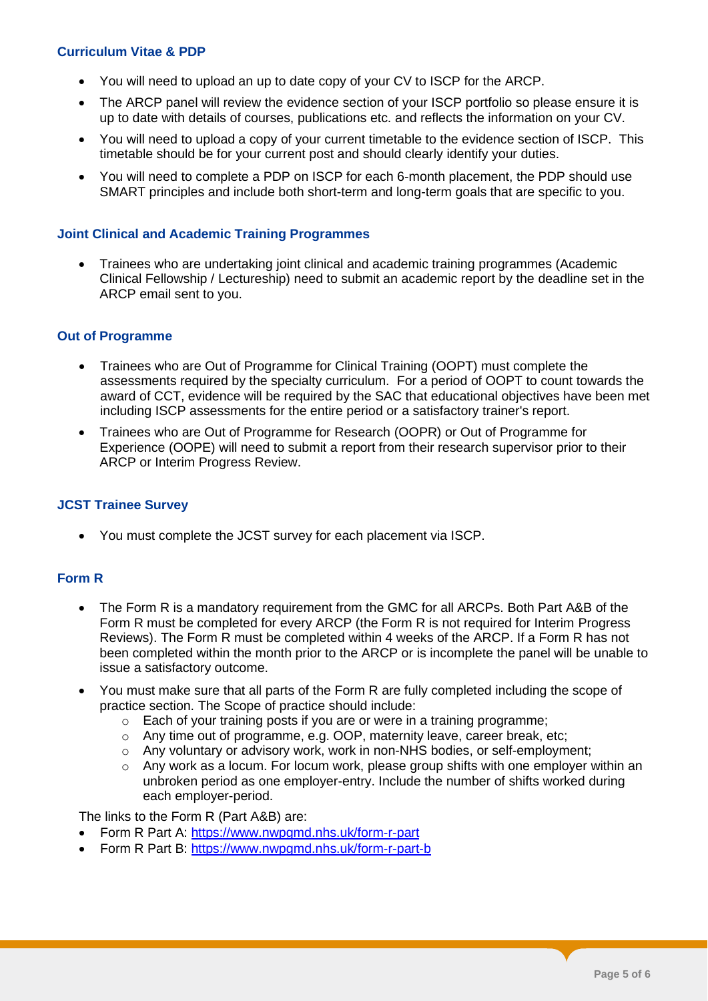# **Curriculum Vitae & PDP**

- You will need to upload an up to date copy of your CV to ISCP for the ARCP.
- The ARCP panel will review the evidence section of your ISCP portfolio so please ensure it is up to date with details of courses, publications etc. and reflects the information on your CV.
- You will need to upload a copy of your current timetable to the evidence section of ISCP. This timetable should be for your current post and should clearly identify your duties.
- You will need to complete a PDP on ISCP for each 6-month placement, the PDP should use SMART principles and include both short-term and long-term goals that are specific to you.

#### **Joint Clinical and Academic Training Programmes**

• Trainees who are undertaking joint clinical and academic training programmes (Academic Clinical Fellowship / Lectureship) need to submit an academic report by the deadline set in the ARCP email sent to you.

#### **Out of Programme**

- Trainees who are Out of Programme for Clinical Training (OOPT) must complete the assessments required by the specialty curriculum. For a period of OOPT to count towards the award of CCT, evidence will be required by the SAC that educational objectives have been met including ISCP assessments for the entire period or a satisfactory trainer's report.
- Trainees who are Out of Programme for Research (OOPR) or Out of Programme for Experience (OOPE) will need to submit a report from their research supervisor prior to their ARCP or Interim Progress Review.

#### **JCST Trainee Survey**

• You must complete the JCST survey for each placement via ISCP.

# **Form R**

- The Form R is a mandatory requirement from the GMC for all ARCPs. Both Part A&B of the Form R must be completed for every ARCP (the Form R is not required for Interim Progress Reviews). The Form R must be completed within 4 weeks of the ARCP. If a Form R has not been completed within the month prior to the ARCP or is incomplete the panel will be unable to issue a satisfactory outcome.
- You must make sure that all parts of the Form R are fully completed including the scope of practice section. The Scope of practice should include:
	- $\circ$  Each of your training posts if you are or were in a training programme;
	- o Any time out of programme, e.g. OOP, maternity leave, career break, etc;
	- o Any voluntary or advisory work, work in non-NHS bodies, or self-employment;
	- o Any work as a locum. For locum work, please group shifts with one employer within an unbroken period as one employer-entry. Include the number of shifts worked during each employer-period.

The links to the Form R (Part A&B) are:

- Form R Part A:<https://www.nwpgmd.nhs.uk/form-r-part>
- Form R Part B: <https://www.nwpgmd.nhs.uk/form-r-part-b>